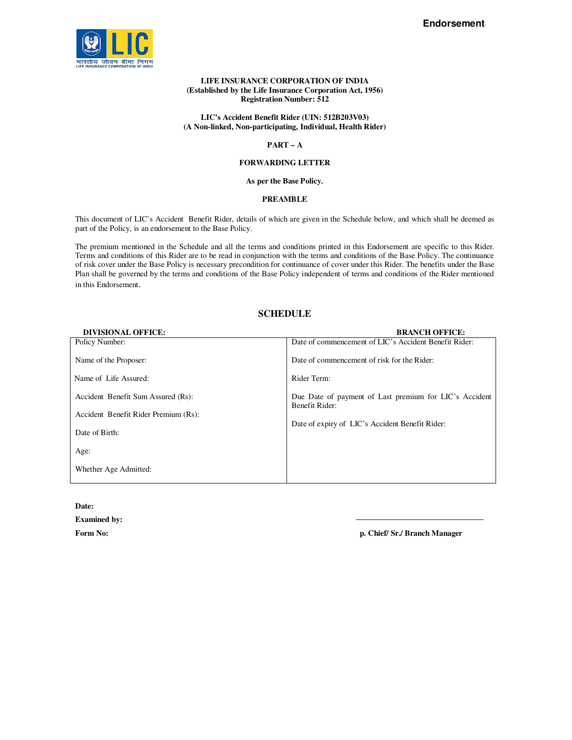

#### **LIFE INSURANCE CORPORATION OF INDIA (Established by the Life Insurance Corporation Act, 1956) Registration Number: 512**

### **LIC's Accident Benefit Rider (UIN: 512B203V03) (A Non-linked, Non-participating, Individual, Health Rider)**

### **PART – A**

### **FORWARDING LETTER**

## **As per the Base Policy.**

#### **PREAMBLE**

This document of LIC's Accident Benefit Rider, details of which are given in the Schedule below, and which shall be deemed as part of the Policy, is an endorsement to the Base Policy.

The premium mentioned in the Schedule and all the terms and conditions printed in this Endorsement are specific to this Rider. Terms and conditions of this Rider are to be read in conjunction with the terms and conditions of the Base Policy. The continuance of risk cover under the Base Policy is necessary precondition for continuance of cover under this Rider. The benefits under the Base Plan shall be governed by the terms and conditions of the Base Policy independent of terms and conditions of the Rider mentioned in this Endorsement.

## **SCHEDULE**

| <b>BRANCH OFFICE:</b>                                      |
|------------------------------------------------------------|
| Date of commencement of LIC's Accident Benefit Rider:      |
| Date of commencement of risk for the Rider:<br>Rider Term: |
| Due Date of payment of Last premium for LIC's Accident     |
| Benefit Rider:                                             |
| Date of expiry of LIC's Accident Benefit Rider:            |
|                                                            |
|                                                            |
|                                                            |

**Date:** 

**Examined by:** 

**Form No: p. Chief/ Sr./ Branch Manager**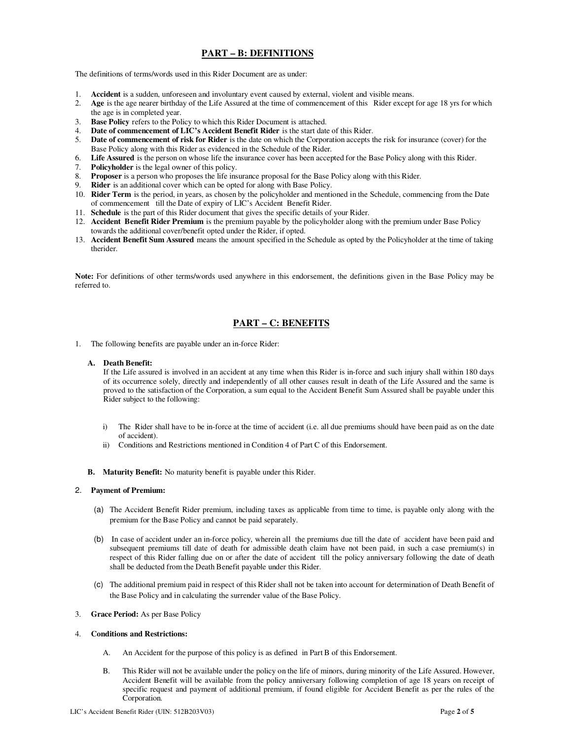## **PART – B: DEFINITIONS**

The definitions of terms/words used in this Rider Document are as under:

- 1. **Accident** is a sudden, unforeseen and involuntary event caused by external, violent and visible means.
- 2. **Age** is the age nearer birthday of the Life Assured at the time of commencement of this Rider except for age 18 yrs for which the age is in completed year.
- 3. **Base Policy** refers to the Policy to which this Rider Document is attached.
- 4. **Date of commencement of LIC's Accident Benefit Rider** is the start date of this Rider.<br>5. **Date of commencement of risk for Rider** is the date on which the Corporation accepts to
- **Date of commencement of risk for Rider** is the date on which the Corporation accepts the risk for insurance (cover) for the Base Policy along with this Rider as evidenced in the Schedule of the Rider.
- 6. **Life Assured** is the person on whose life the insurance cover has been accepted for the Base Policy along with this Rider.
- **Policyholder** is the legal owner of this policy.
- 8. **Proposer** is a person who proposes the life insurance proposal for the Base Policy along with this Rider.
- 9. **Rider** is an additional cover which can be opted for along with Base Policy.
- 10. **Rider Term** is the period, in years, as chosen by the policyholder and mentioned in the Schedule, commencing from the Date of commencement till the Date of expiry of LIC's Accident Benefit Rider.
- 11. **Schedule** is the part of this Rider document that gives the specific details of your Rider.
- 12. **Accident Benefit Rider Premium** is the premium payable by the policyholder along with the premium under Base Policy towards the additional cover/benefit opted under the Rider, if opted.
- 13. **Accident Benefit Sum Assured** means the amount specified in the Schedule as opted by the Policyholder at the time of taking therider.

**Note:** For definitions of other terms/words used anywhere in this endorsement, the definitions given in the Base Policy may be referred to.

# **PART – C: BENEFITS**

1. The following benefits are payable under an in-force Rider:

#### **A. Death Benefit:**

If the Life assured is involved in an accident at any time when this Rider is in-force and such injury shall within 180 days of its occurrence solely, directly and independently of all other causes result in death of the Life Assured and the same is proved to the satisfaction of the Corporation, a sum equal to the Accident Benefit Sum Assured shall be payable under this Rider subject to the following:

- i) The Rider shall have to be in-force at the time of accident (i.e. all due premiums should have been paid as on the date of accident).
- ii) Conditions and Restrictions mentioned in Condition 4 of Part C of this Endorsement.
- **B. Maturity Benefit:** No maturity benefit is payable under this Rider.

#### 2. **Payment of Premium:**

- (a) The Accident Benefit Rider premium, including taxes as applicable from time to time, is payable only along with the premium for the Base Policy and cannot be paid separately.
- (b) In case of accident under an in-force policy, wherein all the premiums due till the date of accident have been paid and subsequent premiums till date of death for admissible death claim have not been paid, in such a case premium(s) in respect of this Rider falling due on or after the date of accident till the policy anniversary following the date of death shall be deducted from the Death Benefit payable under this Rider.
- (c) The additional premium paid in respect of this Rider shall not be taken into account for determination of Death Benefit of the Base Policy and in calculating the surrender value of the Base Policy.
- 3. **Grace Period:** As per Base Policy

#### 4. **Conditions and Restrictions:**

- A. An Accident for the purpose of this policy is as defined in Part B of this Endorsement.
- B. This Rider will not be available under the policy on the life of minors, during minority of the Life Assured. However, Accident Benefit will be available from the policy anniversary following completion of age 18 years on receipt of specific request and payment of additional premium, if found eligible for Accident Benefit as per the rules of the Corporation.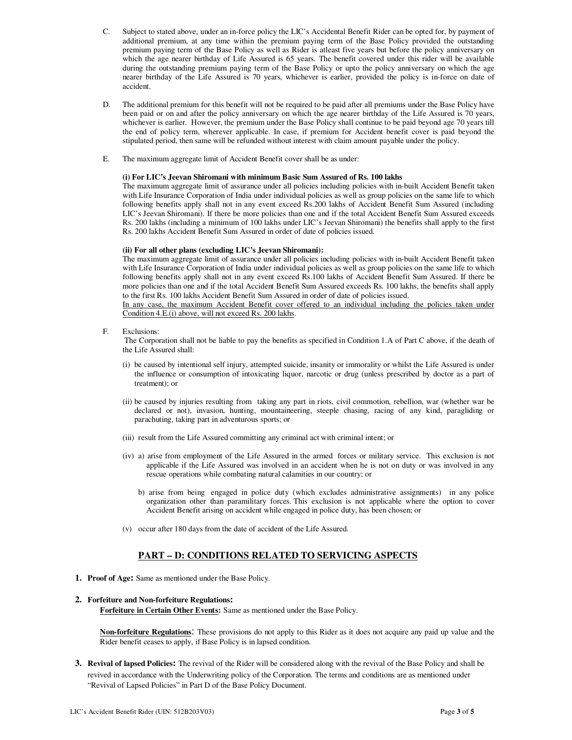- C. Subject to stated above, under an in-force policy the LIC's Accidental Benefit Rider can be opted for, by payment of additional premium, at any time within the premium paying term of the Base Policy provided the outstanding premium paying term of the Base Policy as well as Rider is atleast five years but before the policy anniversary on which the age nearer birthday of Life Assured is 65 years. The benefit covered under this rider will be available during the outstanding premium paying term of the Base Policy or upto the policy anniversary on which the age nearer birthday of the Life Assured is 70 years, whichever is earlier, provided the policy is in-force on date of accident.
- D. The additional premium for this benefit will not be required to be paid after all premiums under the Base Policy have been paid or on and after the policy anniversary on which the age nearer birthday of the Life Assured is 70 years, whichever is earlier. However, the premium under the Base Policy shall continue to be paid beyond age 70 years till the end of policy term, wherever applicable. In case, if premium for Accident benefit cover is paid beyond the stipulated period, then same will be refunded without interest with claim amount payable under the policy.
- E. The maximum aggregate limit of Accident Benefit cover shall be as under:

#### **(i) For LIC's Jeevan Shiromani with minimum Basic Sum Assured of Rs. 100 lakhs**

The maximum aggregate limit of assurance under all policies including policies with in-built Accident Benefit taken with Life Insurance Corporation of India under individual policies as well as group policies on the same life to which following benefits apply shall not in any event exceed Rs.200 lakhs of Accident Benefit Sum Assured (including LIC's Jeevan Shiromani). If there be more policies than one and if the total Accident Benefit Sum Assured exceeds Rs. 200 lakhs (including a minimum of 100 lakhs under LIC's Jeevan Shiromani) the benefits shall apply to the first Rs. 200 lakhs Accident Benefit Sum Assured in order of date of policies issued.

#### **(ii) For all other plans (excluding LIC's Jeevan Shiromani):**

The maximum aggregate limit of assurance under all policies including policies with in-built Accident Benefit taken with Life Insurance Corporation of India under individual policies as well as group policies on the same life to which following benefits apply shall not in any event exceed Rs.100 lakhs of Accident Benefit Sum Assured. If there be more policies than one and if the total Accident Benefit Sum Assured exceeds Rs. 100 lakhs, the benefits shall apply to the first Rs. 100 lakhs Accident Benefit Sum Assured in order of date of policies issued.

In any case, the maximum Accident Benefit cover offered to an individual including the policies taken under Condition 4.E.(i) above, will not exceed Rs. 200 lakhs.

F. Exclusions:

 The Corporation shall not be liable to pay the benefits as specified in Condition 1.A of Part C above, if the death of the Life Assured shall:

- (i) be caused by intentional self injury, attempted suicide, insanity or immorality or whilst the Life Assured is under the influence or consumption of intoxicating liquor, narcotic or drug (unless prescribed by doctor as a part of treatment); or
- (ii) be caused by injuries resulting from taking any part in riots, civil commotion, rebellion, war (whether war be declared or not), invasion, hunting, mountaineering, steeple chasing, racing of any kind, paragliding or parachuting, taking part in adventurous sports; or
- (iii) result from the Life Assured committing any criminal act with criminal intent; or
- (iv) a) arise from employment of the Life Assured in the armed forces or military service. This exclusion is not applicable if the Life Assured was involved in an accident when he is not on duty or was involved in any rescue operations while combating natural calamities in our country; or
	- b) arise from being engaged in police duty (which excludes administrative assignments) in any police organization other than paramilitary forces. This exclusion is not applicable where the option to cover Accident Benefit arising on accident while engaged in police duty, has been chosen; or
- (v) occur after 180 days from the date of accident of the Life Assured.

## **PART – D: CONDITIONS RELATED TO SERVICING ASPECTS**

- **1. Proof of Age:** Same as mentioned under the Base Policy.
- **2. Forfeiture and Non-forfeiture Regulations: Forfeiture in Certain Other Events:** Same as mentioned under the Base Policy.

**Non-forfeiture Regulations**: These provisions do not apply to this Rider as it does not acquire any paid up value and the Rider benefit ceases to apply, if Base Policy is in lapsed condition.

**3. Revival of lapsed Policies:** The revival of the Rider will be considered along with the revival of the Base Policy and shall be revived in accordance with the Underwriting policy of the Corporation. The terms and conditions are as mentioned under "Revival of Lapsed Policies" in Part D of the Base Policy Document.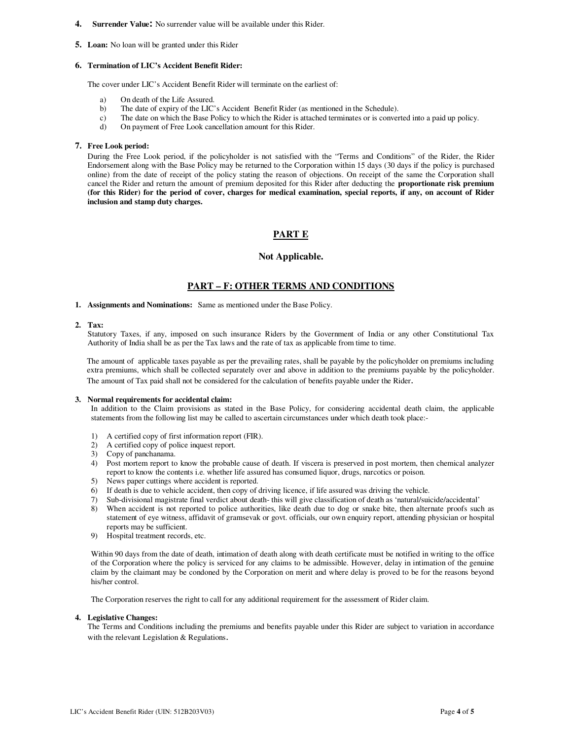#### **4. Surrender Value:** No surrender value will be available under this Rider.

**5. Loan:** No loan will be granted under this Rider

#### **6. Termination of LIC's Accident Benefit Rider:**

The cover under LIC's Accident Benefit Rider will terminate on the earliest of:

- a) On death of the Life Assured.
- b) The date of expiry of the LIC's Accident Benefit Rider (as mentioned in the Schedule).
- c) The date on which the Base Policy to which the Rider is attached terminates or is converted into a paid up policy.
- d) On payment of Free Look cancellation amount for this Rider.

#### **7. Free Look period:**

During the Free Look period, if the policyholder is not satisfied with the "Terms and Conditions" of the Rider, the Rider Endorsement along with the Base Policy may be returned to the Corporation within 15 days (30 days if the policy is purchased online) from the date of receipt of the policy stating the reason of objections. On receipt of the same the Corporation shall cancel the Rider and return the amount of premium deposited for this Rider after deducting the **proportionate risk premium (for this Rider) for the period of cover, charges for medical examination, special reports, if any, on account of Rider inclusion and stamp duty charges.**

## **PART E**

## **Not Applicable.**

## **PART – F: OTHER TERMS AND CONDITIONS**

**1. Assignments and Nominations:** Same as mentioned under the Base Policy.

### **2. Tax:**

Statutory Taxes, if any, imposed on such insurance Riders by the Government of India or any other Constitutional Tax Authority of India shall be as per the Tax laws and the rate of tax as applicable from time to time.

The amount of applicable taxes payable as per the prevailing rates, shall be payable by the policyholder on premiums including extra premiums, which shall be collected separately over and above in addition to the premiums payable by the policyholder. The amount of Tax paid shall not be considered for the calculation of benefits payable under the Rider.

#### **3. Normal requirements for accidental claim:**

In addition to the Claim provisions as stated in the Base Policy, for considering accidental death claim, the applicable statements from the following list may be called to ascertain circumstances under which death took place:-

- 1) A certified copy of first information report (FIR).
- 2) A certified copy of police inquest report.
- 3) Copy of panchanama.
- 4) Post mortem report to know the probable cause of death. If viscera is preserved in post mortem, then chemical analyzer report to know the contents i.e. whether life assured has consumed liquor, drugs, narcotics or poison.
- 5) News paper cuttings where accident is reported.
- 6) If death is due to vehicle accident, then copy of driving licence, if life assured was driving the vehicle.
- 7) Sub-divisional magistrate final verdict about death- this will give classification of death as 'natural/suicide/accidental'
- 8) When accident is not reported to police authorities, like death due to dog or snake bite, then alternate proofs such as statement of eye witness, affidavit of gramsevak or govt. officials, our own enquiry report, attending physician or hospital reports may be sufficient.
- 9) Hospital treatment records, etc.

Within 90 days from the date of death, intimation of death along with death certificate must be notified in writing to the office of the Corporation where the policy is serviced for any claims to be admissible. However, delay in intimation of the genuine claim by the claimant may be condoned by the Corporation on merit and where delay is proved to be for the reasons beyond his/her control.

The Corporation reserves the right to call for any additional requirement for the assessment of Rider claim.

#### **4. Legislative Changes:**

The Terms and Conditions including the premiums and benefits payable under this Rider are subject to variation in accordance with the relevant Legislation & Regulations.